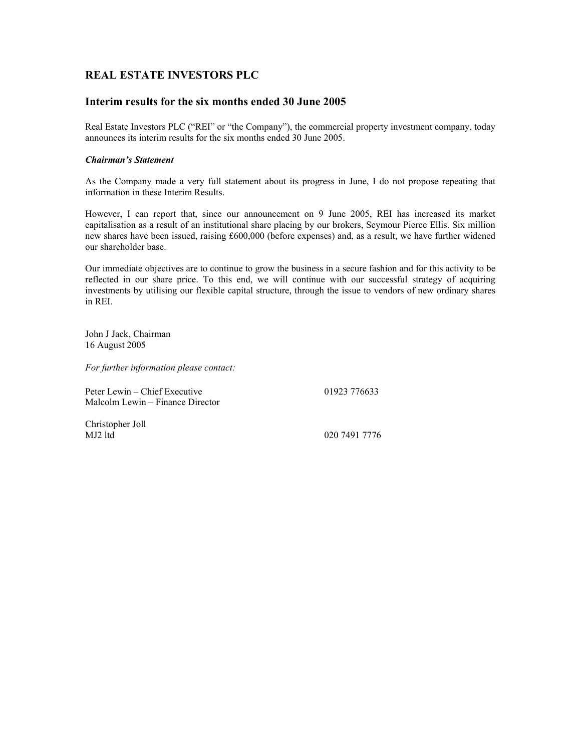## **REAL ESTATE INVESTORS PLC**

### **Interim results for the six months ended 30 June 2005**

Real Estate Investors PLC ("REI" or "the Company"), the commercial property investment company, today announces its interim results for the six months ended 30 June 2005.

### *Chairman's Statement*

As the Company made a very full statement about its progress in June, I do not propose repeating that information in these Interim Results.

However, I can report that, since our announcement on 9 June 2005, REI has increased its market capitalisation as a result of an institutional share placing by our brokers, Seymour Pierce Ellis. Six million new shares have been issued, raising £600,000 (before expenses) and, as a result, we have further widened our shareholder base.

Our immediate objectives are to continue to grow the business in a secure fashion and for this activity to be reflected in our share price. To this end, we will continue with our successful strategy of acquiring investments by utilising our flexible capital structure, through the issue to vendors of new ordinary shares in REI.

John J Jack, Chairman 16 August 2005

*For further information please contact:* 

Peter Lewin – Chief Executive 01923 776633 Malcolm Lewin – Finance Director

Christopher Joll

020 7491 7776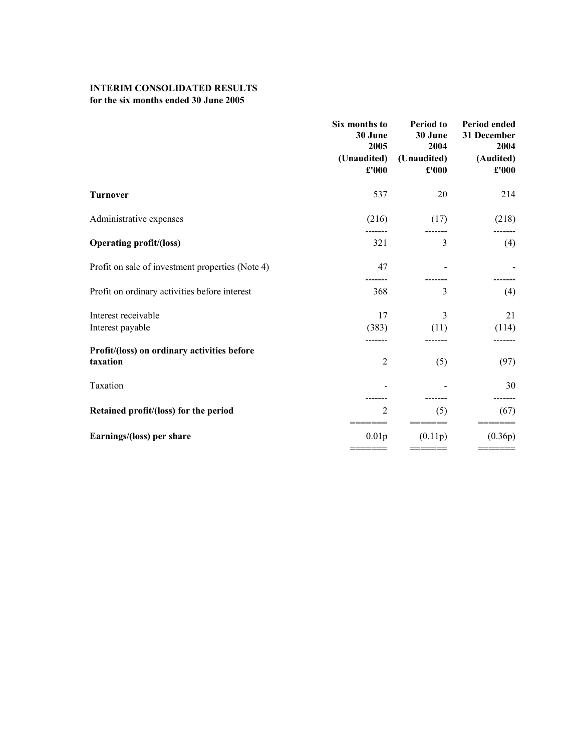# **INTERIM CONSOLIDATED RESULTS**

## **for the six months ended 30 June 2005**

|                                                         | Six months to<br>30 June<br>2005<br>(Unaudited)<br>£'000 | <b>Period</b> to<br>30 June<br>2004<br>(Unaudited)<br>£'000 | Period ended<br>31 December<br>2004<br>(Audited)<br>£'000 |
|---------------------------------------------------------|----------------------------------------------------------|-------------------------------------------------------------|-----------------------------------------------------------|
| <b>Turnover</b>                                         | 537                                                      | 20                                                          | 214                                                       |
| Administrative expenses                                 | (216)                                                    | (17)                                                        | (218)                                                     |
| <b>Operating profit/(loss)</b>                          | 321                                                      | 3                                                           | (4)                                                       |
| Profit on sale of investment properties (Note 4)        | 47                                                       |                                                             |                                                           |
| Profit on ordinary activities before interest           | 368                                                      | 3                                                           | (4)                                                       |
| Interest receivable                                     | 17                                                       | 3                                                           | 21                                                        |
| Interest payable                                        | (383)                                                    | (11)                                                        | (114)                                                     |
| Profit/(loss) on ordinary activities before<br>taxation | $\overline{2}$                                           | (5)                                                         | (97)                                                      |
| Taxation                                                |                                                          |                                                             | 30                                                        |
| Retained profit/(loss) for the period                   | 2                                                        | (5)                                                         | (67)                                                      |
| Earnings/(loss) per share                               | 0.01 <sub>p</sub>                                        | (0.11p)                                                     | (0.36p)                                                   |
|                                                         |                                                          |                                                             |                                                           |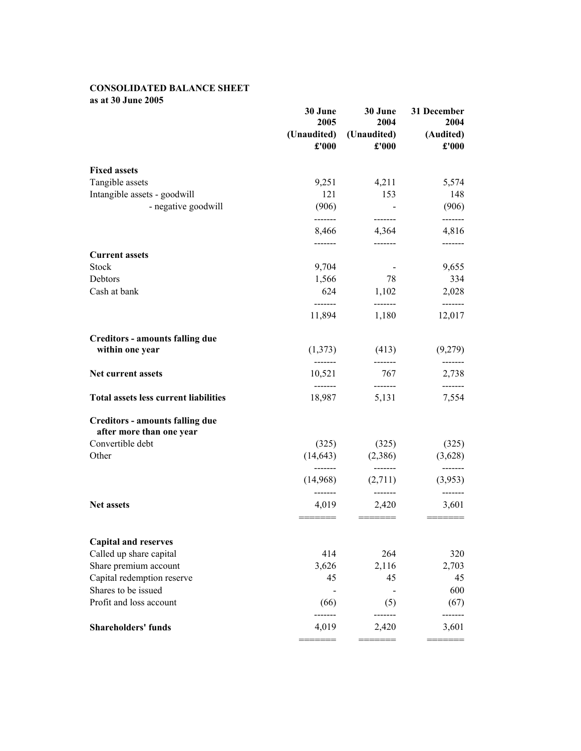## **CONSOLIDATED BALANCE SHEET as at 30 June 2005**

|                                              | 30 June               | 30 June             | 31 December        |
|----------------------------------------------|-----------------------|---------------------|--------------------|
|                                              | 2005<br>(Unaudited)   | 2004<br>(Unaudited) | 2004<br>(Audited)  |
|                                              | £'000                 | £'000               | $\pounds$ '000     |
| <b>Fixed assets</b>                          |                       |                     |                    |
| Tangible assets                              | 9,251                 | 4,211               | 5,574              |
| Intangible assets - goodwill                 | 121                   | 153                 | 148                |
| - negative goodwill                          | (906)                 | --------            | (906)              |
|                                              | -------<br>8,466      | 4,364               | 4,816              |
|                                              | -------               |                     | -------            |
| <b>Current assets</b>                        |                       |                     |                    |
| Stock                                        | 9,704                 |                     | 9,655              |
| Debtors                                      | 1,566                 | 78                  | 334                |
| Cash at bank                                 | 624<br>-------        | 1,102<br>-------    | 2,028<br>-------   |
|                                              | 11,894                | 1,180               | 12,017             |
| <b>Creditors - amounts falling due</b>       |                       |                     |                    |
| within one year                              | (1,373)<br>--------   | (413)<br>-------    | (9,279)            |
| Net current assets                           | 10,521                | 767                 | -------<br>2,738   |
| <b>Total assets less current liabilities</b> | -------<br>18,987     | -------<br>5,131    | -------<br>7,554   |
| <b>Creditors - amounts falling due</b>       |                       |                     |                    |
| after more than one year                     |                       |                     |                    |
| Convertible debt                             | (325)                 | (325)               | (325)              |
| Other                                        | (14, 643)<br>-------- | (2,386)<br>-------  | (3,628)<br>------- |
|                                              | (14,968)              | (2,711)             | (3,953)            |
| Net assets                                   | -------<br>4,019      | -------<br>2,420    | -------<br>3,601   |
|                                              | ======                |                     |                    |
| <b>Capital and reserves</b>                  |                       |                     |                    |
| Called up share capital                      | 414                   | 264                 | 320                |
| Share premium account                        | 3,626                 | 2,116               | 2,703              |
| Capital redemption reserve                   | 45                    | 45                  | 45                 |
| Shares to be issued                          |                       |                     | 600                |
| Profit and loss account                      | (66)                  | (5)                 | (67)               |
| <b>Shareholders' funds</b>                   | 4,019                 | 2,420               | 3,601              |
|                                              |                       |                     |                    |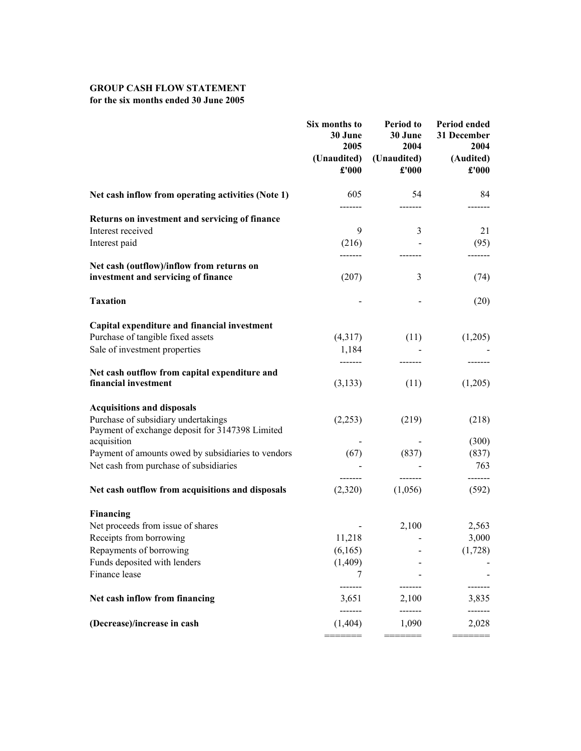## **GROUP CASH FLOW STATEMENT for the six months ended 30 June 2005**

|                                                                                        | Six months to<br>30 June<br>2005<br>(Unaudited)<br>£'000 | <b>Period to</b><br>30 June<br>2004<br>(Unaudited)<br>£'000 | Period ended<br>31 December<br>2004<br>(Audited)<br>£'000 |
|----------------------------------------------------------------------------------------|----------------------------------------------------------|-------------------------------------------------------------|-----------------------------------------------------------|
| Net cash inflow from operating activities (Note 1)                                     | 605                                                      | 54                                                          | 84                                                        |
| Returns on investment and servicing of finance                                         | -------                                                  | -------                                                     |                                                           |
| Interest received                                                                      | 9                                                        | 3                                                           | 21                                                        |
| Interest paid                                                                          | (216)                                                    |                                                             | (95)                                                      |
| Net cash (outflow)/inflow from returns on                                              |                                                          |                                                             |                                                           |
| investment and servicing of finance                                                    | (207)                                                    | 3                                                           | (74)                                                      |
| <b>Taxation</b>                                                                        |                                                          |                                                             | (20)                                                      |
| Capital expenditure and financial investment                                           |                                                          |                                                             |                                                           |
| Purchase of tangible fixed assets                                                      | (4,317)                                                  | (11)                                                        | (1,205)                                                   |
| Sale of investment properties                                                          | 1,184                                                    |                                                             |                                                           |
| Net cash outflow from capital expenditure and                                          |                                                          |                                                             |                                                           |
| financial investment                                                                   | (3,133)                                                  | (11)                                                        | (1,205)                                                   |
| <b>Acquisitions and disposals</b>                                                      |                                                          |                                                             |                                                           |
| Purchase of subsidiary undertakings<br>Payment of exchange deposit for 3147398 Limited | (2,253)                                                  | (219)                                                       | (218)                                                     |
| acquisition                                                                            |                                                          |                                                             | (300)                                                     |
| Payment of amounts owed by subsidiaries to vendors                                     | (67)                                                     | (837)                                                       | (837)                                                     |
| Net cash from purchase of subsidiaries                                                 | $- - - - - - -$                                          | -------                                                     | 763<br>-------                                            |
| Net cash outflow from acquisitions and disposals                                       | (2,320)                                                  | (1,056)                                                     | (592)                                                     |
| Financing                                                                              |                                                          |                                                             |                                                           |
| Net proceeds from issue of shares                                                      |                                                          | 2,100                                                       | 2,563                                                     |
| Receipts from borrowing                                                                | 11,218                                                   |                                                             | 3,000                                                     |
| Repayments of borrowing                                                                | (6,165)                                                  |                                                             | (1,728)                                                   |
| Funds deposited with lenders                                                           | (1,409)                                                  |                                                             |                                                           |
| Finance lease                                                                          | 7                                                        |                                                             |                                                           |
| Net cash inflow from financing                                                         | 3,651                                                    | 2,100                                                       | 3,835                                                     |
| (Decrease)/increase in cash                                                            | -------<br>(1, 404)                                      | -------<br>1,090                                            | 2,028                                                     |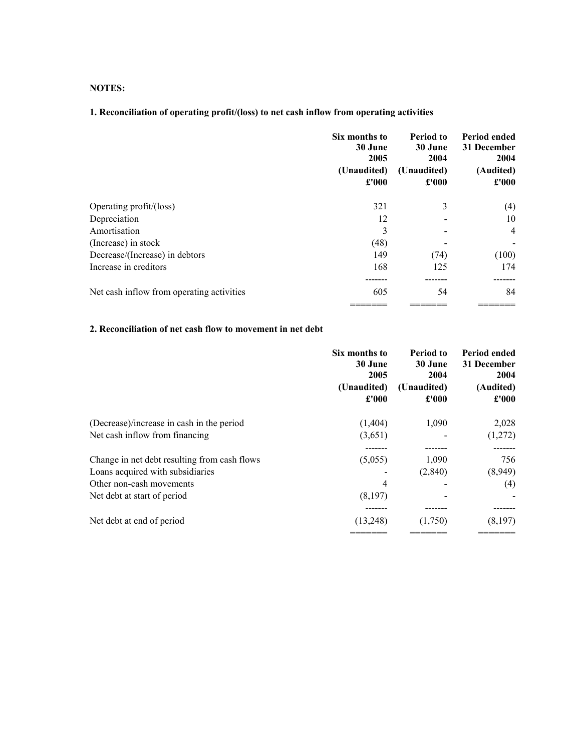## **NOTES:**

# **1. Reconciliation of operating profit/(loss) to net cash inflow from operating activities**

|                                           | Six months to<br>30 June<br>2005<br>(Unaudited)<br>£'000 | Period to<br>30 June<br>2004<br>(Unaudited)<br>£'000 | Period ended<br>31 December<br>2004<br>(Audited)<br>£'000 |
|-------------------------------------------|----------------------------------------------------------|------------------------------------------------------|-----------------------------------------------------------|
| Operating profit/(loss)                   | 321                                                      | 3                                                    | (4)                                                       |
| Depreciation                              | 12                                                       |                                                      | 10                                                        |
| Amortisation                              | 3                                                        |                                                      | $\overline{4}$                                            |
| (Increase) in stock                       | (48)                                                     |                                                      |                                                           |
| Decrease/(Increase) in debtors            | 149                                                      | (74)                                                 | (100)                                                     |
| Increase in creditors                     | 168                                                      | 125                                                  | 174                                                       |
|                                           |                                                          |                                                      |                                                           |
| Net cash inflow from operating activities | 605                                                      | 54                                                   | 84                                                        |
|                                           |                                                          |                                                      |                                                           |

## **2. Reconciliation of net cash flow to movement in net debt**

| Six months to<br>30 June<br>2005<br>(Unaudited)<br>£'000 | <b>Period to</b><br>30 June<br>2004<br>(Unaudited)<br>£'000 | Period ended<br>31 December<br>2004<br>(Audited)<br>£'000 |
|----------------------------------------------------------|-------------------------------------------------------------|-----------------------------------------------------------|
| (1,404)                                                  | 1,090                                                       | 2,028                                                     |
| (3,651)                                                  |                                                             | (1,272)                                                   |
|                                                          |                                                             |                                                           |
| (5,055)                                                  | 1,090                                                       | 756                                                       |
|                                                          | (2,840)                                                     | (8,949)                                                   |
| 4                                                        |                                                             | (4)                                                       |
| (8,197)                                                  |                                                             |                                                           |
|                                                          |                                                             |                                                           |
| (13,248)                                                 | (1,750)                                                     | (8,197)                                                   |
|                                                          |                                                             |                                                           |